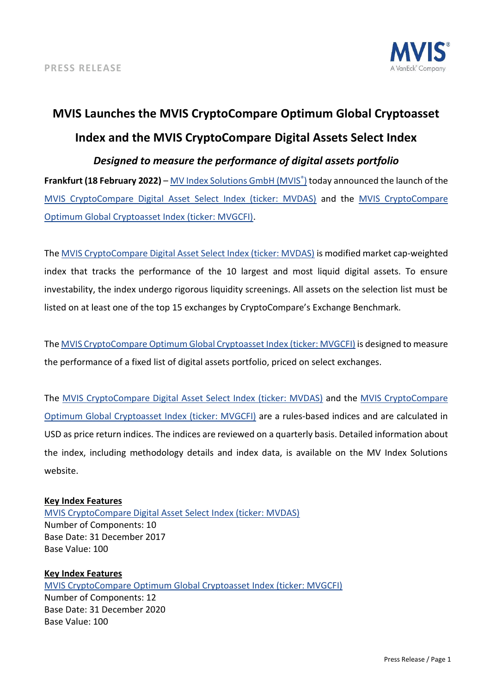

## **MVIS Launches the MVIS CryptoCompare Optimum Global Cryptoasset Index and the MVIS CryptoCompare Digital Assets Select Index**

## *Designed to measure the performance of digital assets portfolio*

**Frankfurt (18 February 2022)** – [MV Index Solutions GmbH \(MVIS](https://www.mvis-indices.com/)[®](https://www.mvis-indices.com/) [\)](https://www.mvis-indices.com/) today announced the launch of the [MVIS CryptoCompare Digital Asset Select Index \(ticker: MVDAS\)](https://www.mvis-indices.com/indices/digital-assets/MVIS-CryptoCompare-Digital-Asset-Select?utm_source=mvis&utm_medium=pressrelease&utm_campaign=announcement) and the [MVIS CryptoCompare](https://www.mvis-indices.com/indices/digital-assets/mvis-CryptoCompare-Optimum-Global-Cryptoasset?utm_source=mvis&utm_medium=pressrelease&utm_campaign=announcement)  [Optimum Global Cryptoasset Index \(ticker: MVGCFI\).](https://www.mvis-indices.com/indices/digital-assets/mvis-CryptoCompare-Optimum-Global-Cryptoasset?utm_source=mvis&utm_medium=pressrelease&utm_campaign=announcement)

Th[e MVIS CryptoCompare Digital Asset Select Index \(ticker: MVDAS\)](https://www.mvis-indices.com/indices/digital-assets/MVIS-CryptoCompare-Digital-Asset-Select?utm_source=mvis&utm_medium=pressrelease&utm_campaign=announcement) is modified market cap-weighted index that tracks the performance of the 10 largest and most liquid digital assets. To ensure investability, the index undergo rigorous liquidity screenings. All assets on the selection list must be listed on at least one of the top 15 exchanges by CryptoCompare's Exchange Benchmark.

Th[e MVIS CryptoCompare Optimum Global Cryptoasset Index \(ticker: MVGCFI\)](https://www.mvis-indices.com/indices/digital-assets/mvis-CryptoCompare-Optimum-Global-Cryptoasset?utm_source=mvis&utm_medium=pressrelease&utm_campaign=announcement) is designed to measure the performance of a fixed list of digital assets portfolio, priced on select exchanges.

The [MVIS CryptoCompare Digital Asset Select Index \(ticker: MVDAS\)](https://www.mvis-indices.com/indices/digital-assets/MVIS-CryptoCompare-Digital-Asset-Select?utm_source=mvis&utm_medium=pressrelease&utm_campaign=announcement) and the [MVIS CryptoCompare](https://www.mvis-indices.com/indices/digital-assets/mvis-CryptoCompare-Optimum-Global-Cryptoasset?utm_source=mvis&utm_medium=pressrelease&utm_campaign=announcement)  [Optimum Global Cryptoasset Index \(ticker: MVGCFI\)](https://www.mvis-indices.com/indices/digital-assets/mvis-CryptoCompare-Optimum-Global-Cryptoasset?utm_source=mvis&utm_medium=pressrelease&utm_campaign=announcement) are a rules-based indices and are calculated in USD as price return indices. The indices are reviewed on a quarterly basis. Detailed information about the index, including methodology details and index data, is available on the MV Index Solutions website.

## **Key Index Features**

[MVIS CryptoCompare Digital Asset Select Index \(ticker: MVDAS\)](https://www.mvis-indices.com/indices/digital-assets/MVIS-CryptoCompare-Digital-Asset-Select?utm_source=mvis&utm_medium=pressrelease&utm_campaign=announcement) Number of Components: 10 Base Date: 31 December 2017 Base Value: 100

**Key Index Features**  [MVIS CryptoCompare Optimum Global Cryptoasset Index \(ticker: MVGCFI\)](https://www.mvis-indices.com/indices/digital-assets/mvis-CryptoCompare-Optimum-Global-Cryptoasset?utm_source=mvis&utm_medium=pressrelease&utm_campaign=announcement) Number of Components: 12 Base Date: 31 December 2020 Base Value: 100